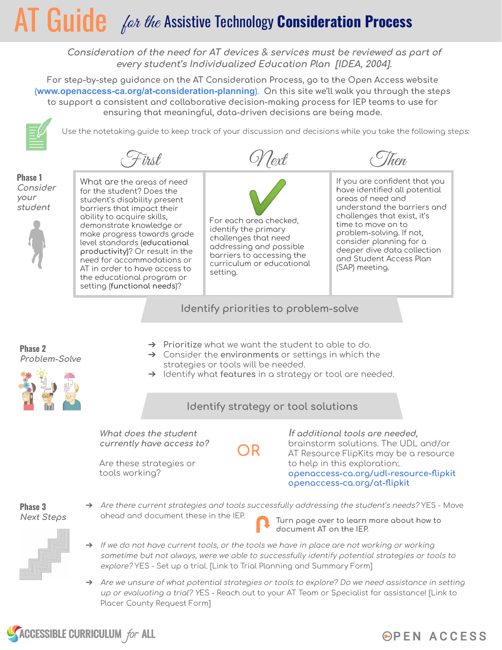# $\mathsf{AT}$  Guide *for the* Assistive Technology Consideration Process

Consideration of the need for AT devices & services must be reviewed as part of every student's Individualized Education Plan [IDEA, 2004].

For step-by-step guidance on the AT Consideration Process, go to the Open Access website (www.openaccess-ca.org/at-consideration-planning). On this site we'll walk you through the steps to support a consistent and collaborative decision-making process for IEP teams to use for ensuring that meaningful, data-driven decisions are being made.



Use the notetaking guide to keep track of your discussion and decisions while you take the following steps:

Text

-ïrst



**Phase 2** 

What are the areas of need for the student? Does the student's disability present barriers that impact their ability to acquire skills, demonstrate knowledge or make progress towards grade level standards (educational productivity)? Or result in the need for accommodations or AT in order to have access to the educational program or setting (functional needs)?



curriculum or educational

setting.



(hon

### Identify priorities to problem-solve

- Problem-Solve
- $\rightarrow$  Prioritize what we want the student to able to do.  $\rightarrow$  Consider the environments or settings in which the strategies or tools will be needed.
	- $\rightarrow$  Identify what features in a strategy or tool are needed.



)R

What does the student currently have access to?

Are these strategies or tools working?

If additional tools are needed. brainstorm solutions. The UDL and/or AT Resource FlipKits may be a resource to help in this exploration: openaccess-ca.org/udl-resource-flipkit openaccess-ca.org/at-flipkit

Phase 3 **Next Steps**  Are there current strategies and tools successfully addressing the student's needs? YES - Move ahead and document these in the IEP. Turn page over to learn more about how to

document AT on the IEP.



- $\rightarrow$  If we do not have current tools, or the tools we have in place are not working or working sometime but not always, were we able to successfully identify potential strategies or tools to explore? YES - Set up a trial. [Link to Trial Planning and Summary Form]
- Are we unsure of what potential strategies or tools to explore? Do we need assistance in setting up or evaluating a trial? YES - Reach out to your AT Team or Specialist for assistance! [Link to Placer County Request Form]



## **OPEN ACCESS**